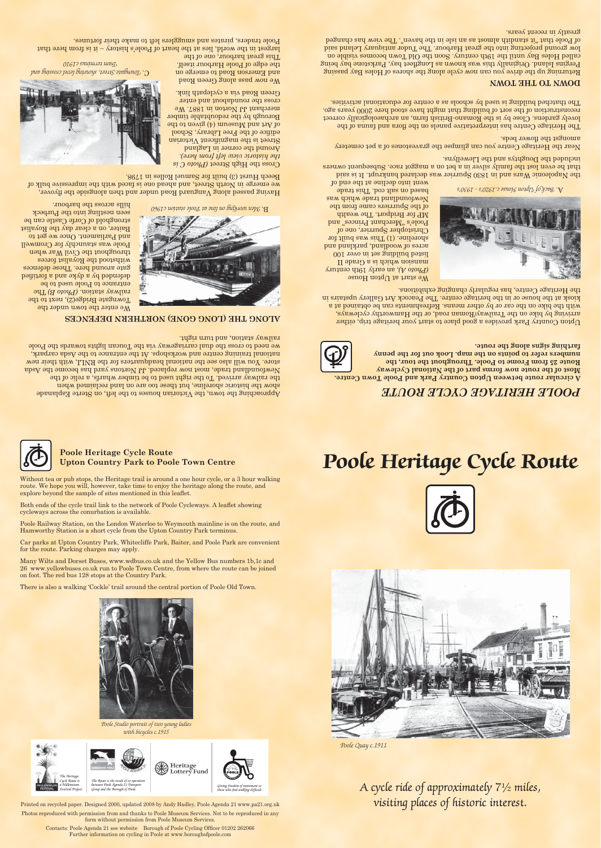Contacts: Poole Agenda 21 see website Borough of Poole Cycling Officer 01202 262066 Further information on cycling in Poole at www.boroughofpoole.com



Printed on recycled paper. Designed 2000, updated 2008 by Andy Hadley, Poole Agenda 21 www.pa21.org.uk Photos reproduced with permission from and thanks to Poole Museum Services. Not to be reproduced in any form without permission from Poole Museum Services.





*those who fi nd walking diffi cult*



*Giving freedom of movement to* 



on foot. The red bus 128 stops at the Country Park. There is also a walking 'Cockle' trail around the central portion of Poole Old Town.

Many Wilts and Dorset Buses, www.wdbus.co.uk and the Yellow Bus numbers 1b,1c and 26 www.yellowbuses.co.uk run to Poole Town Centre, from where the route can be joined

Car parks at Upton Country Park, Whitecliffe Park, Baiter, and Poole Park are convenient for the route. Parking charges may apply.

Hamworthy Station is a short cycle from the Upton Country Park terminus.

Poole Railway Station, on the London Waterloo to Weymouth mainline is on the route, and

Both ends of the cycle trail link to the network of Poole Cycleways. A leaflet showing cycleways across the conurbation is available.

explore beyond the sample of sites mentioned in this leaflet.

route. We hope you will, however, take time to enjoy the heritage along the route, and

# Without tea or pub stops, the Heritage trail is around a one hour cycle, or a 3 hour walking

# **Poole Heritage Cycle Route Upton Country Park to Poole Town Centre**

Approaching the town, the Victorian houses to the left, on Sterte Esplanade show the historic shoreline, but these too are on land reclaimed when the railway arrived. To the right used to be timber wharfs, a relic of the Newfoundland trade, most now replaced. JJ Nortons yard has become the Asda store. You will also see the national headquarters for the RNLI, with their new national training centre and workshops. At the entrance to the Asda carpark, we need to cross the dual carriageway via the Toucan lights towards the Poole

**ALONG THE (LONG GONE) NORTHERN DEFENCES**

Having passed along Vanguard Road under and then alongside the flyover, we emerge in North Street, and ahead one is faced with the impressive bulk of

largest in the world, lies at the heart of Poole's history – it is from here that

Poole traders, pirates and smugglers left to make their fortunes.

Beech Hurst (3) built for Samuel Rolles in 1798.

 *Men working on line at Poole station c1960* B.

Cross the High Street (Photo C is . *the historic view left from here)* Around the corner in Lagland  $S$ treet is the magnificent  $V$ ictorian edifiee of the Free Library, School of Art and Museum  $(\mathbb{A})$  given to the Borough by the redoubtable timber merchant JJ Norton in 1887. We cross the roundabout and enter Green Road via a cyclepath link. We now pass along Green Road and Emerson Road to emerge on the edge of Poole Harbour itself. This great harbour, one of the

We enter the town under the Towngate Bridge(2), next to the railway station. (Photo B) The entrance to Poole used to be defended by a dyke and a fortified  $\,$ gate around here. These defences withstood the Royalist forces throughout the Civil War when Poole was staunchly for Cromwell and Parliament. Once we get to Baiter, on a clear day the Royalist stronghold of Corfe Castle can be seen nestling into the Purbeck hills across the harbour.

 *Towngate Street, showing level crossing and* C. *Tram terminus c1910*

railway station, and turn right.

# *POOLE HERITAGE CYCLE ROUTE*

*Poole Heritage Cycle Route*

*A cycle ride of approximately 7½ miles, visiting places of historic interest.*

*Poole Quay c.1911*

**A circular route between Upton Country Park and Poole Town Centre. Most of the route now forms part of the National Cycleway Route 25 from Frome to Poole. Throughout the tour, the** 









**numbers refer to points on the map. Look out for the penny farthing signs along the route.**

Upton Country Park provides a good place to start your heritage trip, either arriving by bike on the Trailway/Roman road, or the Hamworthy cycleways, with the bike on the car or by other means. Refreshments can be obtained at a kiosk at the house or in the heritage centre. The Peacock Art Gallery upstairs in the Heritage Centre, has regularly changing exhibitions.

 $W$ e start at Upton House , an early 19th century *(Photo A)* mansion which is a Grade II listed building set in over 100 acres of woodland, parkland and shoreline. (1) This was built for Christopher Spurrier, one of Poole's "Merchant Princes" and MP for Bridport. The wealth of the Spurriers came from the Newfoundland trade which was based on salt cod. This trade

went into decline at the end of

 *Back of Upton House c.1920's - 1930's* A.

the Napoleonic Wars and in 1830 Spurrier was declared bankrupt. It is said that he even lost the family silver in a bet on a maggot race. Subsequent owners included the Doughtys and the Llewellyns.

Near the Heritage Centre you can glimpse the gravestones of a pet cemetery

amongst the flower beds.

The Heritage Centre has interpretative panels on the flor and fauna of the lovely gardens. Close by is the Romano-British farm, an archaeologically correct reconstruction of the sort of building that might have stood here 2000 years ago. The thatched building is used by schools as a centre for educational activities.

## DOWN TO THE TWO TOWN

Returning up the drive you can now cycle along the shores of Holes Bay passing Pergins Laland. Originally this was known as Longfleet bay, Parkstone bay being called Holes Bay until the 19th century. Soon the Old Town becomes visible on low ground projecting into the great Harbour. The Tudor antiquary Leland said of Poole that "it standith almost as an isle in the haven". The view has changed greatly in recent years.